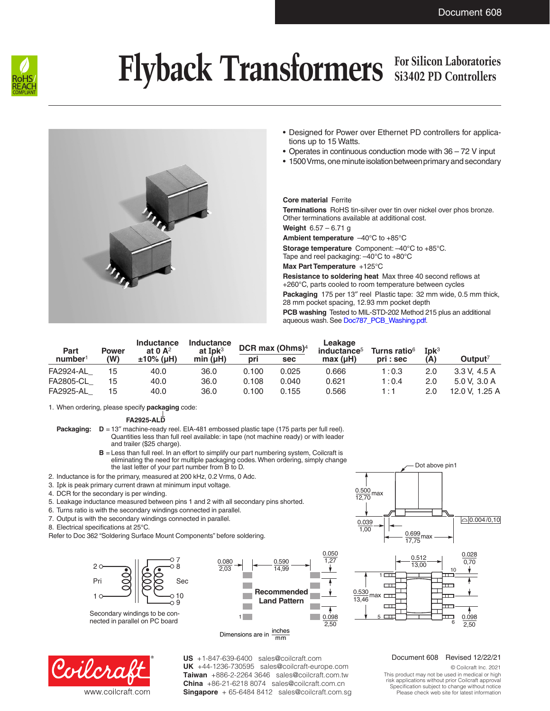

# Flyback Transformers For Silicon Laboratories

## **Si3402 PD Controllers**



- Designed for Power over Ethernet PD controllers for applications up to 15 Watts.
- Operates in continuous conduction mode with 36 72 V input
- 1500Vrms, one minute isolation between primary and secondary

#### **Core material** Ferrite

**Terminations** RoHS tin-silver over tin over nickel over phos bronze. Other terminations available at additional cost.

**Weight** 6.57 – 6.71 g

**Ambient temperature** –40°C to +85°C

**Storage temperature** Component: –40°C to +85°C. Tape and reel packaging: –40°C to +80°C

**Max Part Temperature** +125°C

0.050

**Resistance to soldering heat** Max three 40 second reflows at +260°C, parts cooled to room temperature between cycles **Packaging** 175 per 13" reel Plastic tape: 32 mm wide, 0.5 mm thick, 28 mm pocket spacing, 12.93 mm pocket depth **PCB washing** Tested to MIL-STD-202 Method 215 plus an additional aqueous wash. See [Doc787\\_PCB\\_Washing.pdf](http://www.coilcraft.com/pdfs/Doc787_PCB_Washing.pdf).

| Part                | <b>Power</b> | <b>Inductance</b><br>at $0 \, \mathsf{A}^2$ | <b>Inductance</b><br>at Ip $k^3$ | DCR max (Ohms) <sup>4</sup> |       | Leakage<br>inductance <sup>5</sup> | Turns ratio <sup>6</sup> | $Ipk3$ |                     |
|---------------------|--------------|---------------------------------------------|----------------------------------|-----------------------------|-------|------------------------------------|--------------------------|--------|---------------------|
| number <sup>1</sup> | (W)          | $±10\%$ (µH)                                | min (µH)                         | pri                         | sec   | max (µH)                           | pri : sec                | (A)    | Output <sup>7</sup> |
| <b>FA2924-AL</b>    | 15           | 40.0                                        | 36.0                             | 0.100                       | 0.025 | 0.666                              | 1:0.3                    | 2.0    | 3.3 V. 4.5 A        |
| <b>FA2805-CL</b>    | 15           | 40.0                                        | 36.0                             | 0.108                       | 0.040 | 0.621                              | 1:0.4                    | 2.0    | 5.0 V. 3.0 A        |
| <b>FA2925-AL</b>    | 15           | 40.0                                        | 36.0                             | 0.100                       | 0.155 | 0.566                              | 1 : 1                    | 2.0    | 12.0 V. 1.25 A      |

1. When ordering, please specify **packaging** code:

**FA2925-ALD**

- **Packaging:**  $D = 13''$  machine-ready reel. EIA-481 embossed plastic tape (175 parts per full reel). Quantities less than full reel available: in tape (not machine ready) or with leader and trailer (\$25 charge).
	- **B** = Less than full reel. In an effort to simplify our part numbering system, Coilcraft is eliminating the need for multiple packaging codes. When ordering, simply change the last letter of your part number from B to D.
- 2. Inductance is for the primary, measured at 200 kHz, 0.2 Vrms, 0 Adc.
- 3. Ipk is peak primary current drawn at minimum input voltage.
- 4. DCR for the secondary is per winding.
- 5. Leakage inductance measured between pins 1 and 2 with all secondary pins shorted.
- 6. Turns ratio is with the secondary windings connected in parallel.
- 7. Output is with the secondary windings connected in parallel.
- 8. Electrical specifications at 25°C.
- Refer to Doc 362 "Soldering Surface Mount Components" before soldering.



Secondary windings to be connected in parallel on PC board



Dimensions are in  $\frac{\text{inches}}{\text{max}}$ mm



**US** +1-847-639-6400 sales@coilcraft.com +44-1236-730595 sales@coilcraft-europe.com **UK** +886-2-2264 3646 sales@coilcraft.com.tw **Taiwan** +86-21-6218 8074 sales@coilcraft.com.cn **China** Singapore + 65-6484 8412 sales@coilcraft.com.sg

#### $\frac{0.500}{10.70}$  max 12,70  $0.039$ 1,00 0.699<br>17,75  $\bigcap$  0.004/0,10 Dot above pin1



#### Document 608 Revised 12/22/21

© Coilcraft Inc. 2021 This product may not be used in medical or high risk applications without prior Coilcraft approval. Specification subject to change without notice. Please check web site for latest information.